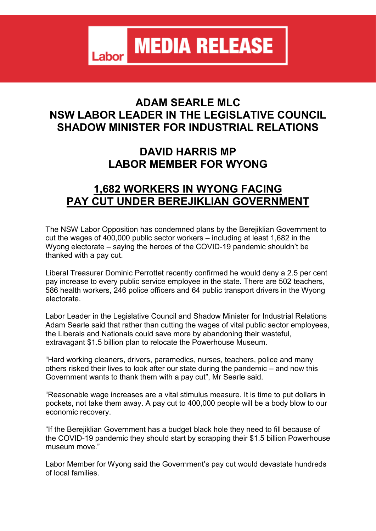**MEDIA RELEASE** Labor

## **ADAM SEARLE MLC NSW LABOR LEADER IN THE LEGISLATIVE COUNCIL SHADOW MINISTER FOR INDUSTRIAL RELATIONS**

## **DAVID HARRIS MP LABOR MEMBER FOR WYONG**

## **1,682 WORKERS IN WYONG FACING PAY CUT UNDER BEREJIKLIAN GOVERNMENT**

The NSW Labor Opposition has condemned plans by the Berejiklian Government to cut the wages of 400,000 public sector workers – including at least 1,682 in the Wyong electorate – saying the heroes of the COVID-19 pandemic shouldn't be thanked with a pay cut.

Liberal Treasurer Dominic Perrottet recently confirmed he would deny a 2.5 per cent pay increase to every public service employee in the state. There are 502 teachers, 586 health workers, 246 police officers and 64 public transport drivers in the Wyong electorate.

Labor Leader in the Legislative Council and Shadow Minister for Industrial Relations Adam Searle said that rather than cutting the wages of vital public sector employees, the Liberals and Nationals could save more by abandoning their wasteful, extravagant \$1.5 billion plan to relocate the Powerhouse Museum.

"Hard working cleaners, drivers, paramedics, nurses, teachers, police and many others risked their lives to look after our state during the pandemic – and now this Government wants to thank them with a pay cut", Mr Searle said.

"Reasonable wage increases are a vital stimulus measure. It is time to put dollars in pockets, not take them away. A pay cut to 400,000 people will be a body blow to our economic recovery.

"If the Berejiklian Government has a budget black hole they need to fill because of the COVID-19 pandemic they should start by scrapping their \$1.5 billion Powerhouse museum move."

Labor Member for Wyong said the Government's pay cut would devastate hundreds of local families.